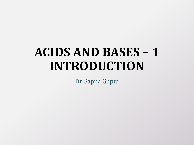# **ACIDS AND BASES – 1 INTRODUCTION**

Dr. Sapna Gupta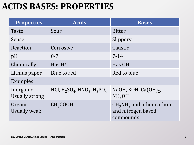#### **ACIDS BASES: PROPERTIES**

| <b>Properties</b>                  | <b>Acids</b>                                  | <b>Bases</b>                                                 |
|------------------------------------|-----------------------------------------------|--------------------------------------------------------------|
| Taste                              | Sour                                          | <b>Bitter</b>                                                |
| Sense                              |                                               | Slippery                                                     |
| Reaction                           | Corrosive                                     | Caustic                                                      |
| pH                                 | $0 - 7$                                       | $7 - 14$                                                     |
| Chemically                         | Has $H^+$                                     | Has OH <sup>-</sup>                                          |
| Litmus paper                       | Blue to red                                   | Red to blue                                                  |
| Examples                           |                                               |                                                              |
| Inorganic<br><b>Usually strong</b> | HCl, $H_2SO_4$ , HNO <sub>3</sub> , $H_3PO_4$ | NaOH, KOH, $Ca(OH)_{2}$ ,<br>NH <sub>4</sub> OH              |
| Organic<br><b>Usually weak</b>     | CH <sub>3</sub> COOH                          | $CH3NH2$ and other carbon<br>and nitrogen based<br>compounds |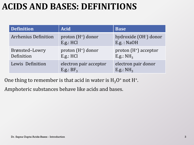### **ACIDS AND BASES: DEFINITIONS**

| <b>Definition</b>            | <b>Acid</b>                            | <b>Base</b>                            |
|------------------------------|----------------------------------------|----------------------------------------|
| <b>Arrhenius Definition</b>  | proton $(H^+)$ donor<br>E.g.: HCl      | hydroxide (OH-) donor<br>E.g. : NaOH   |
| Brønsted-Lowry<br>Definition | proton $(H^+)$ donor<br>E.g.: HCl      | proton $(H^+)$ acceptor<br>E.g.: $NH3$ |
| Lewis Definition             | electron pair acceptor<br>E.g.: $BF_3$ | electron pair donor<br>E.g.: $NH3$     |

One thing to remember is that acid in water is  $H_3O^+$  not H<sup>+</sup>.

Amphoteric substances behave like acids and bases.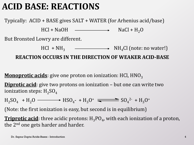### **ACID BASE: REACTIONS**

Typically: ACID + BASE gives SALT + WATER (for Arhenius acid/base)

 $HCl + NaOH$   $\longrightarrow$   $NaCl + H<sub>2</sub>O$ 

But Bronsted Lowry are different.

 $HCl + NH_3$   $\longrightarrow$   $NH_4Cl$  (note: no water!)

**REACTION OCCURS IN THE DIRECTION OF WEAKER ACID-BASE**

**Monoprotic acids**: give one proton on ionization: HCl, HNO<sub>3</sub>

**Diprotic acid**: give two protons on ionization – but one can write two ionization steps:  $H_2SO_4$ 

 $H_2SO_4 + H_2O \longrightarrow HSO_4$ - +  $H_3O^+$   $\longrightarrow SO_4^{2-} + H_3O^+$ 

(Note: the first ionization is easy, but second is in equilibrium)

**Triprotic acid**: three acidic protons:  $\mathrm{H_3PO_4}$ , with each ionization of a proton, the 2<sup>nd</sup> one gets harder and harder.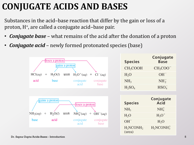# **CONJUGATE ACIDS AND BASES**

Substances in the acid–base reaction that differ by the gain or loss of a proton, H<sup>+</sup> , are called a conjugate acid–base pair.

- *Conjugate base* what remains of the acid after the donation of a proton
- *Conjugate acid* newly formed protonated species (base)

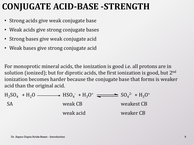#### **CONJUGATE ACID-BASE -STRENGTH**

- Strong acids give weak conjugate base
- Weak acids give strong conjugate bases
- Strong bases give weak conjugate acid
- Weak bases give strong conjugate acid

For monoprotic mineral acids, the ionization is good i.e. all protons are in solution (ionized); but for diprotic acids, the first ionization is good, but  $2<sup>nd</sup>$ ionization becomes harder because the conjugate base that forms is weaker acid than the original acid.

$$
H_2SO_4 + H_2O \longrightarrow HSO_4 + H_3O^+ \longrightarrow SSO_4^{2-} + H_3O^+
$$
  
 
$$
Weak CB
$$
  
 
$$
Weak acid
$$
  
 
$$
Weak acid
$$
  
 
$$
Weaker CB
$$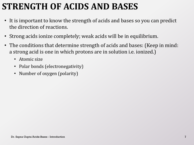# **STRENGTH OF ACIDS AND BASES**

- It is important to know the strength of acids and bases so you can predict the direction of reactions.
- Strong acids ionize completely; weak acids will be in equilibrium.
- The conditions that determine strength of acids and bases: (Keep in mind: a strong acid is one in which protons are in solution i.e. ionized.)
	- Atomic size
	- Polar bonds (electronegativity)
	- Number of oxygen (polarity)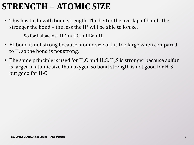# **STRENGTH – ATOMIC SIZE**

• This has to do with bond strength. The better the overlap of bonds the stronger the bond  $-$  the less the  $H<sup>+</sup>$  will be able to ionize.

So for haloacids: HF << HCl < HBr < HI

- HI bond is not strong because atomic size of I is too large when compared to H, so the bond is not strong.
- The same principle is used for  $H_2O$  and  $H_2S$ .  $H_2S$  is stronger because sulfur is larger in atomic size than oxygen so bond strength is not good for H-S but good for H-O.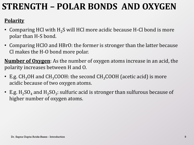# **STRENGTH – POLAR BONDS AND OXYGEN**

#### **Polarity**

- Comparing HCl with  $H_2S$  will HCl more acidic because H-Cl bond is more polar than H-S bond.
- Comparing HClO and HBrO: the former is stronger than the latter because Cl makes the H-O bond more polar.

**Number of Oxygen**: As the number of oxygen atoms increase in an acid, the polarity increases between H and O.

- E.g.  $CH_3OH$  and  $CH_3COOH$ : the second  $CH_3COOH$  (acetic acid) is more acidic because of two oxygen atoms.
- E.g.  $\rm H_2SO_4$  and  $\rm H_2SO_3$ : sulfuric acid is stronger than sulfurous because of higher number of oxygen atoms.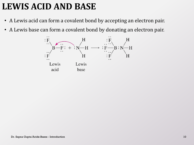# **LEWIS ACID AND BASE**

- A Lewis acid can form a covalent bond by accepting an electron pair.
- A Lewis base can form a covalent bond by donating an electron pair.

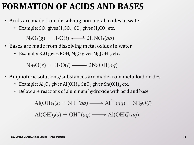#### **FORMATION OF ACIDS AND BASES**

- Acids are made from dissolving non metal oxides in water.
	- Example:  $SO_3$  gives  $H_2SO_4$ ,  $CO_2$  gives  $H_2CO_3$  etc.

 $N_2O_5(g) + H_2O(l) \rightleftharpoons 2HNO_3(aq)$ 

- Bases are made from dissolving metal oxides in water.
	- Example:  $K_2O$  gives KOH, MgO gives Mg(OH)<sub>2</sub> etc.

 $\text{Na}_2\text{O}(s) + \text{H}_2\text{O}(l) \longrightarrow 2\text{NaOH}(aq)$ 

- Amphoteric solutions/substances are made from metalloid oxides.
	- Example:  $\text{Al}_2\text{O}_3$  gives  $\text{Al}(\text{OH})_3$ , SnO<sub>2</sub> gives Sn(OH)<sub>2</sub> etc.
	- Below are reactions of aluminum hydroxide with acid and base.

$$
\text{Al(OH)}_3(s) + 3\text{H}^+(aq) \longrightarrow \text{Al}^{3+}(aq) + 3\text{H}_2\text{O}(l)
$$
  

$$
\text{Al(OH)}_3(s) + \text{OH}^-(aq) \longrightarrow \text{Al(OH)}_4^-(aq)
$$